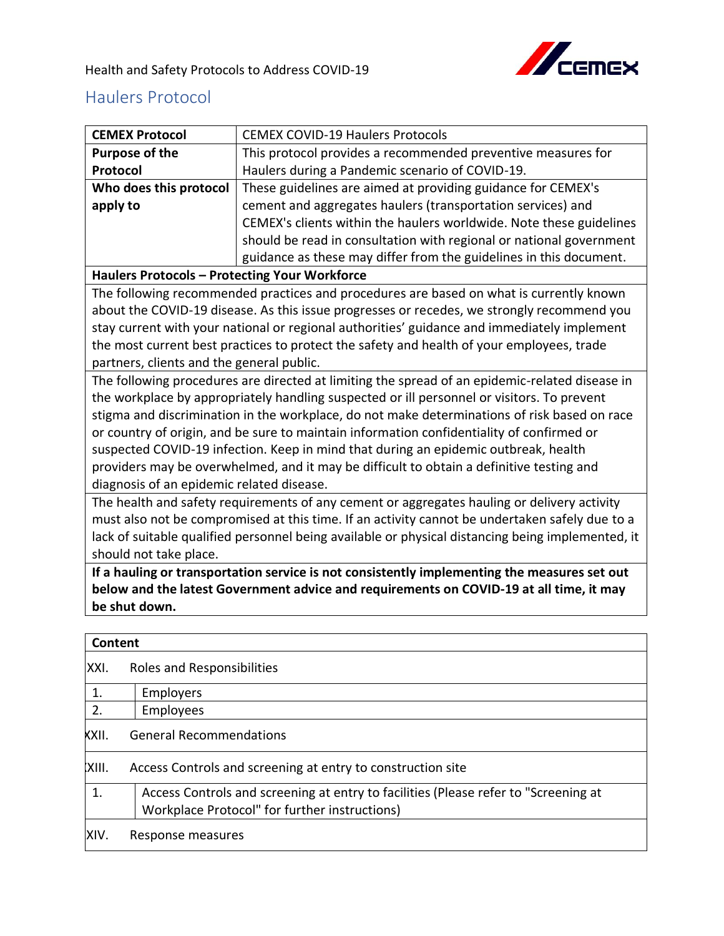

Health and Safety Protocols to Address COVID-19

## Haulers Protocol

| <b>CEMEX Protocol</b>                                                                             | <b>CEMEX COVID-19 Haulers Protocols</b>                                                                                              |  |
|---------------------------------------------------------------------------------------------------|--------------------------------------------------------------------------------------------------------------------------------------|--|
| <b>Purpose of the</b>                                                                             | This protocol provides a recommended preventive measures for                                                                         |  |
| Protocol                                                                                          | Haulers during a Pandemic scenario of COVID-19.                                                                                      |  |
| Who does this protocol                                                                            | These guidelines are aimed at providing guidance for CEMEX's                                                                         |  |
| apply to                                                                                          | cement and aggregates haulers (transportation services) and                                                                          |  |
|                                                                                                   | CEMEX's clients within the haulers worldwide. Note these guidelines                                                                  |  |
|                                                                                                   | should be read in consultation with regional or national government                                                                  |  |
|                                                                                                   | guidance as these may differ from the guidelines in this document.                                                                   |  |
| Haulers Protocols - Protecting Your Workforce                                                     |                                                                                                                                      |  |
|                                                                                                   | The following recommended practices and procedures are based on what is currently known                                              |  |
|                                                                                                   | about the COVID-19 disease. As this issue progresses or recedes, we strongly recommend you                                           |  |
|                                                                                                   | stay current with your national or regional authorities' guidance and immediately implement                                          |  |
|                                                                                                   | the most current best practices to protect the safety and health of your employees, trade                                            |  |
| partners, clients and the general public.                                                         |                                                                                                                                      |  |
|                                                                                                   | The following procedures are directed at limiting the spread of an epidemic-related disease in                                       |  |
|                                                                                                   | the workplace by appropriately handling suspected or ill personnel or visitors. To prevent                                           |  |
|                                                                                                   | stigma and discrimination in the workplace, do not make determinations of risk based on race                                         |  |
|                                                                                                   | or country of origin, and be sure to maintain information confidentiality of confirmed or                                            |  |
|                                                                                                   | suspected COVID-19 infection. Keep in mind that during an epidemic outbreak, health                                                  |  |
|                                                                                                   | providers may be overwhelmed, and it may be difficult to obtain a definitive testing and                                             |  |
| diagnosis of an epidemic related disease.                                                         |                                                                                                                                      |  |
| The health and safety requirements of any cement or aggregates hauling or delivery activity       |                                                                                                                                      |  |
| must also not be compromised at this time. If an activity cannot be undertaken safely due to a    |                                                                                                                                      |  |
| lack of suitable qualified personnel being available or physical distancing being implemented, it |                                                                                                                                      |  |
| should not take place.                                                                            |                                                                                                                                      |  |
|                                                                                                   | If a hauling or transportation service is not consistently implementing the measures set out                                         |  |
|                                                                                                   | below and the latest Government advice and requirements on COVID-19 at all time, it may                                              |  |
| be shut down.                                                                                     |                                                                                                                                      |  |
|                                                                                                   |                                                                                                                                      |  |
| <b>Content</b>                                                                                    |                                                                                                                                      |  |
| XXI.<br>Roles and Responsibilities                                                                |                                                                                                                                      |  |
| 1.<br>Employers                                                                                   |                                                                                                                                      |  |
| 2.<br>Employees                                                                                   |                                                                                                                                      |  |
| <b>General Recommendations</b><br>KXII.                                                           |                                                                                                                                      |  |
| XIII.                                                                                             | Access Controls and screening at entry to construction site                                                                          |  |
| 1.                                                                                                | Access Controls and screening at entry to facilities (Please refer to "Screening at<br>Workplace Protocol" for further instructions) |  |
| XIV.<br>Response measures                                                                         |                                                                                                                                      |  |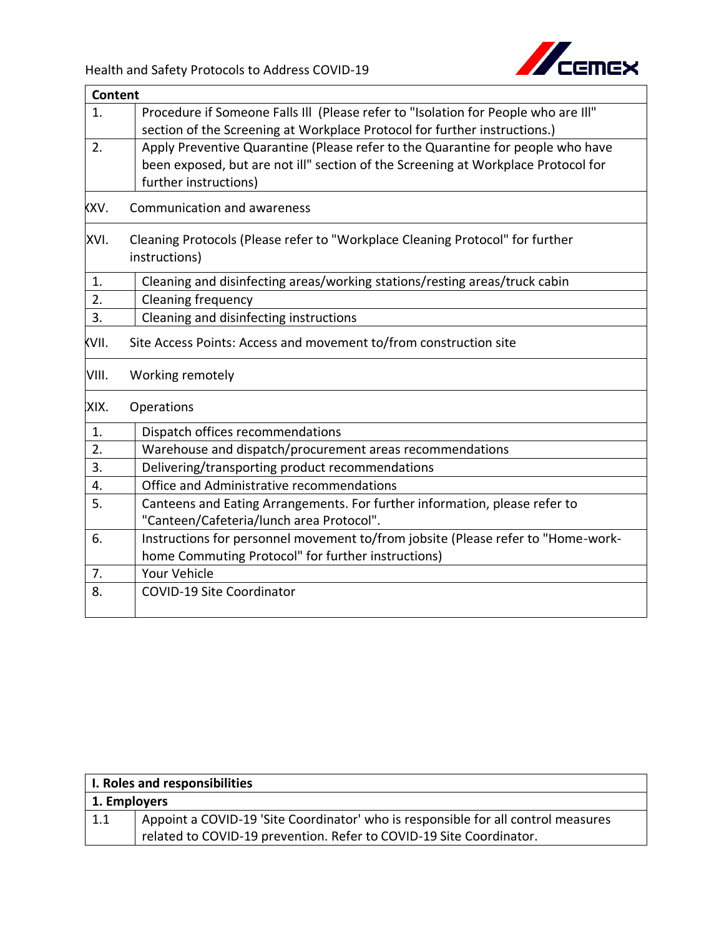

| <b>Content</b>   |                                                                                                                                                                                               |
|------------------|-----------------------------------------------------------------------------------------------------------------------------------------------------------------------------------------------|
| 1.               | Procedure if Someone Falls III (Please refer to "Isolation for People who are III"<br>section of the Screening at Workplace Protocol for further instructions.)                               |
| 2.               | Apply Preventive Quarantine (Please refer to the Quarantine for people who have<br>been exposed, but are not ill" section of the Screening at Workplace Protocol for<br>further instructions) |
| XV.              | Communication and awareness                                                                                                                                                                   |
| XVI.             | Cleaning Protocols (Please refer to "Workplace Cleaning Protocol" for further<br>instructions)                                                                                                |
| 1.               | Cleaning and disinfecting areas/working stations/resting areas/truck cabin                                                                                                                    |
| $\overline{2}$ . | Cleaning frequency                                                                                                                                                                            |
| 3.               | Cleaning and disinfecting instructions                                                                                                                                                        |
| (VII.            | Site Access Points: Access and movement to/from construction site                                                                                                                             |
| VIII.            | Working remotely                                                                                                                                                                              |
| XIX.             | Operations                                                                                                                                                                                    |
| 1.               | Dispatch offices recommendations                                                                                                                                                              |
| 2.               | Warehouse and dispatch/procurement areas recommendations                                                                                                                                      |
| 3.               | Delivering/transporting product recommendations                                                                                                                                               |
| 4.               | Office and Administrative recommendations                                                                                                                                                     |
| 5.               | Canteens and Eating Arrangements. For further information, please refer to<br>"Canteen/Cafeteria/lunch area Protocol".                                                                        |
| 6.               | Instructions for personnel movement to/from jobsite (Please refer to "Home-work-<br>home Commuting Protocol" for further instructions)                                                        |
| 7.               | <b>Your Vehicle</b>                                                                                                                                                                           |
| 8.               | <b>COVID-19 Site Coordinator</b>                                                                                                                                                              |
|                  |                                                                                                                                                                                               |

| I. Roles and responsibilities |                                                                                   |  |
|-------------------------------|-----------------------------------------------------------------------------------|--|
| 1. Employers                  |                                                                                   |  |
| $\vert 1.1 \vert$             | Appoint a COVID-19 'Site Coordinator' who is responsible for all control measures |  |
|                               | related to COVID-19 prevention. Refer to COVID-19 Site Coordinator.               |  |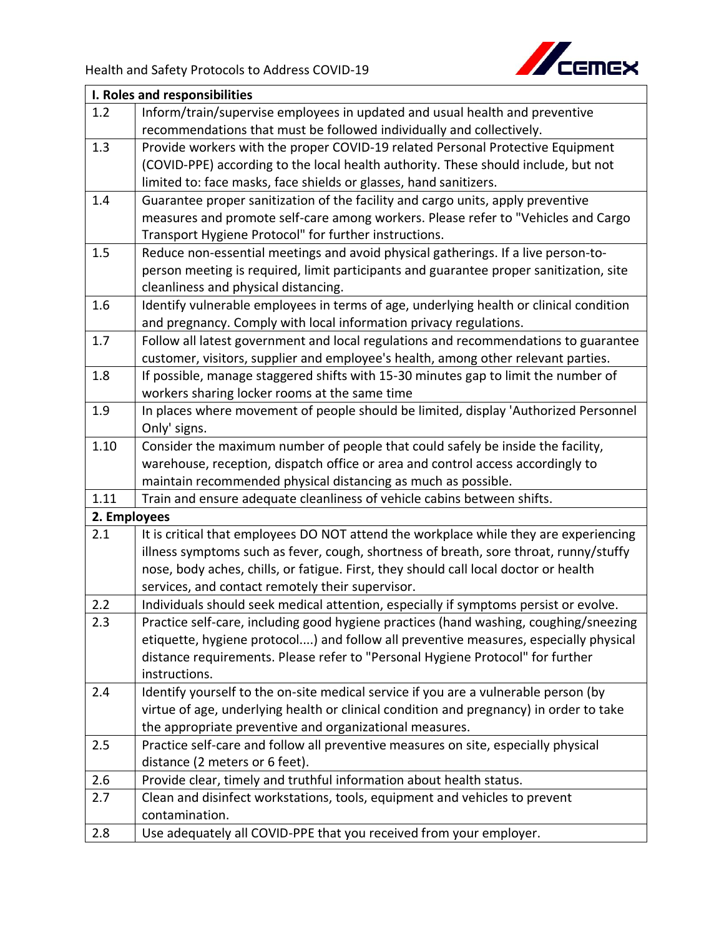

| I. Roles and responsibilities |                                                                                        |  |
|-------------------------------|----------------------------------------------------------------------------------------|--|
| 1.2                           | Inform/train/supervise employees in updated and usual health and preventive            |  |
|                               | recommendations that must be followed individually and collectively.                   |  |
| 1.3                           | Provide workers with the proper COVID-19 related Personal Protective Equipment         |  |
|                               | (COVID-PPE) according to the local health authority. These should include, but not     |  |
|                               | limited to: face masks, face shields or glasses, hand sanitizers.                      |  |
| 1.4                           | Guarantee proper sanitization of the facility and cargo units, apply preventive        |  |
|                               | measures and promote self-care among workers. Please refer to "Vehicles and Cargo      |  |
|                               | Transport Hygiene Protocol" for further instructions.                                  |  |
| 1.5                           | Reduce non-essential meetings and avoid physical gatherings. If a live person-to-      |  |
|                               | person meeting is required, limit participants and guarantee proper sanitization, site |  |
|                               | cleanliness and physical distancing.                                                   |  |
| 1.6                           | Identify vulnerable employees in terms of age, underlying health or clinical condition |  |
|                               | and pregnancy. Comply with local information privacy regulations.                      |  |
| 1.7                           | Follow all latest government and local regulations and recommendations to guarantee    |  |
|                               | customer, visitors, supplier and employee's health, among other relevant parties.      |  |
| 1.8                           | If possible, manage staggered shifts with 15-30 minutes gap to limit the number of     |  |
|                               | workers sharing locker rooms at the same time                                          |  |
| 1.9                           | In places where movement of people should be limited, display 'Authorized Personnel    |  |
|                               | Only' signs.                                                                           |  |
| 1.10                          | Consider the maximum number of people that could safely be inside the facility,        |  |
|                               | warehouse, reception, dispatch office or area and control access accordingly to        |  |
|                               | maintain recommended physical distancing as much as possible.                          |  |
| 1.11                          | Train and ensure adequate cleanliness of vehicle cabins between shifts.                |  |
| 2. Employees                  |                                                                                        |  |
| 2.1                           | It is critical that employees DO NOT attend the workplace while they are experiencing  |  |
|                               | illness symptoms such as fever, cough, shortness of breath, sore throat, runny/stuffy  |  |
|                               | nose, body aches, chills, or fatigue. First, they should call local doctor or health   |  |
|                               | services, and contact remotely their supervisor.                                       |  |
| 2.2                           | Individuals should seek medical attention, especially if symptoms persist or evolve.   |  |
| 2.3                           | Practice self-care, including good hygiene practices (hand washing, coughing/sneezing  |  |
|                               | etiquette, hygiene protocol) and follow all preventive measures, especially physical   |  |
|                               | distance requirements. Please refer to "Personal Hygiene Protocol" for further         |  |
|                               | instructions.                                                                          |  |
| 2.4                           | Identify yourself to the on-site medical service if you are a vulnerable person (by    |  |
|                               | virtue of age, underlying health or clinical condition and pregnancy) in order to take |  |
|                               | the appropriate preventive and organizational measures.                                |  |
| 2.5                           | Practice self-care and follow all preventive measures on site, especially physical     |  |
|                               | distance (2 meters or 6 feet).                                                         |  |
| 2.6                           | Provide clear, timely and truthful information about health status.                    |  |
| 2.7                           | Clean and disinfect workstations, tools, equipment and vehicles to prevent             |  |
|                               | contamination.                                                                         |  |
| 2.8                           | Use adequately all COVID-PPE that you received from your employer.                     |  |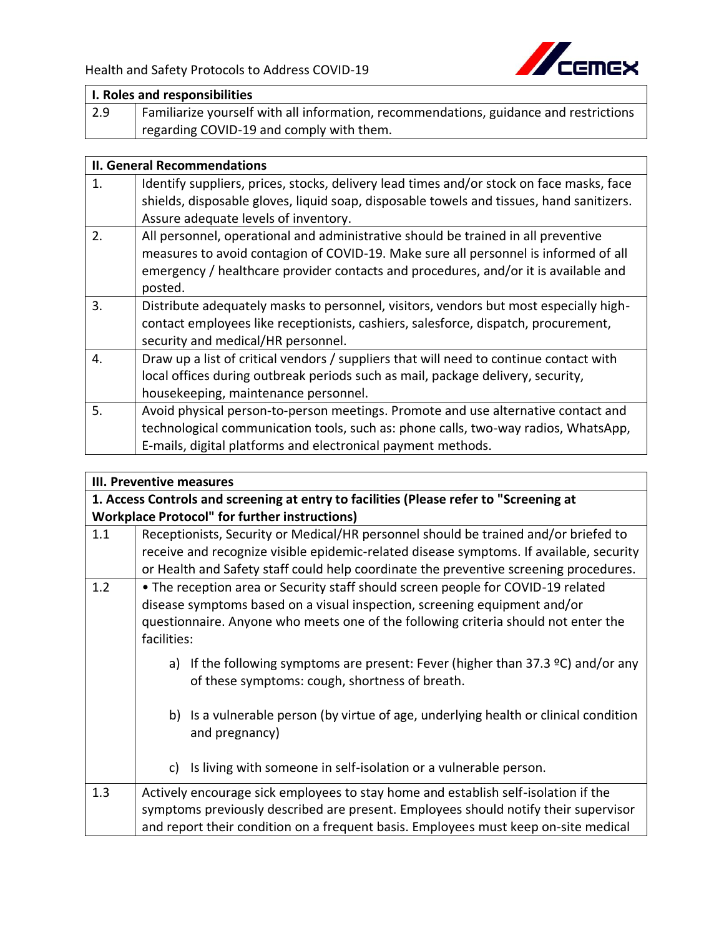

| I. Roles and responsibilities |                                                                                       |  |
|-------------------------------|---------------------------------------------------------------------------------------|--|
| $\sqrt{2.9}$                  | Familiarize yourself with all information, recommendations, guidance and restrictions |  |
|                               | regarding COVID-19 and comply with them.                                              |  |

## **II. General Recommendations**

| 1. | Identify suppliers, prices, stocks, delivery lead times and/or stock on face masks, face<br>shields, disposable gloves, liquid soap, disposable towels and tissues, hand sanitizers.<br>Assure adequate levels of inventory.                                               |
|----|----------------------------------------------------------------------------------------------------------------------------------------------------------------------------------------------------------------------------------------------------------------------------|
| 2. | All personnel, operational and administrative should be trained in all preventive<br>measures to avoid contagion of COVID-19. Make sure all personnel is informed of all<br>emergency / healthcare provider contacts and procedures, and/or it is available and<br>posted. |
| 3. | Distribute adequately masks to personnel, visitors, vendors but most especially high-<br>contact employees like receptionists, cashiers, salesforce, dispatch, procurement,<br>security and medical/HR personnel.                                                          |
| 4. | Draw up a list of critical vendors / suppliers that will need to continue contact with<br>local offices during outbreak periods such as mail, package delivery, security,<br>housekeeping, maintenance personnel.                                                          |
| 5. | Avoid physical person-to-person meetings. Promote and use alternative contact and<br>technological communication tools, such as: phone calls, two-way radios, WhatsApp,<br>E-mails, digital platforms and electronical payment methods.                                    |

|     | III. Preventive measures                                                                                                              |  |
|-----|---------------------------------------------------------------------------------------------------------------------------------------|--|
|     | 1. Access Controls and screening at entry to facilities (Please refer to "Screening at                                                |  |
|     | <b>Workplace Protocol" for further instructions)</b>                                                                                  |  |
| 1.1 | Receptionists, Security or Medical/HR personnel should be trained and/or briefed to                                                   |  |
|     | receive and recognize visible epidemic-related disease symptoms. If available, security                                               |  |
|     | or Health and Safety staff could help coordinate the preventive screening procedures.                                                 |  |
| 1.2 | • The reception area or Security staff should screen people for COVID-19 related                                                      |  |
|     | disease symptoms based on a visual inspection, screening equipment and/or                                                             |  |
|     | questionnaire. Anyone who meets one of the following criteria should not enter the                                                    |  |
|     | facilities:                                                                                                                           |  |
|     | a) If the following symptoms are present: Fever (higher than 37.3 $°C$ ) and/or any<br>of these symptoms: cough, shortness of breath. |  |
|     | b) Is a vulnerable person (by virtue of age, underlying health or clinical condition<br>and pregnancy)                                |  |
|     | Is living with someone in self-isolation or a vulnerable person.<br>C)                                                                |  |
| 1.3 | Actively encourage sick employees to stay home and establish self-isolation if the                                                    |  |
|     | symptoms previously described are present. Employees should notify their supervisor                                                   |  |
|     | and report their condition on a frequent basis. Employees must keep on-site medical                                                   |  |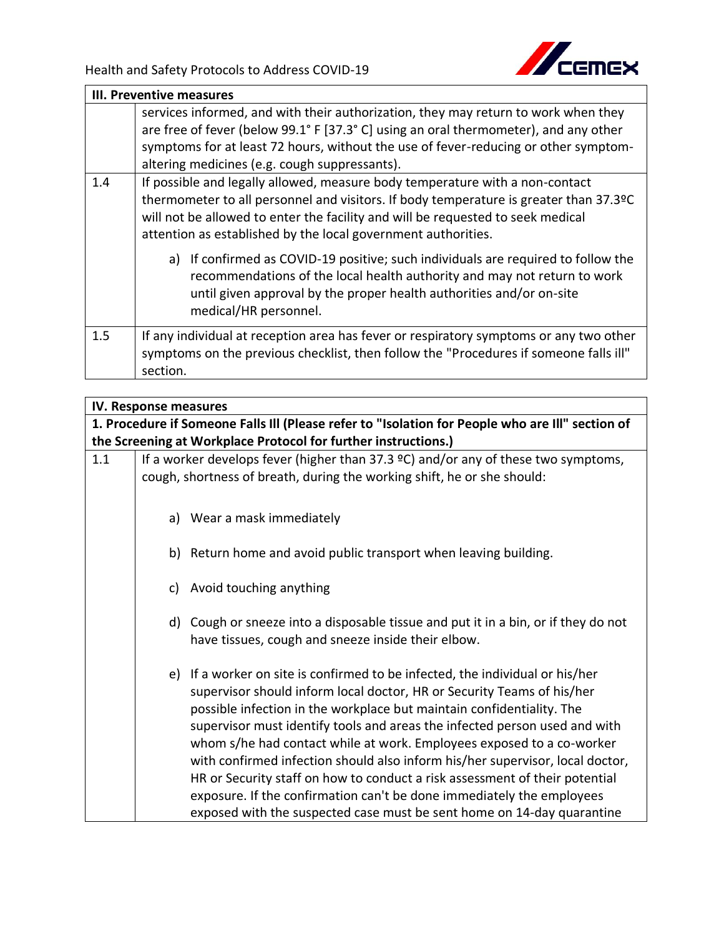

|                                                                                                                                                                                                                                                                                                                                  | <b>III. Preventive measures</b>                                                                                                                                                                                                                                                                                    |  |  |
|----------------------------------------------------------------------------------------------------------------------------------------------------------------------------------------------------------------------------------------------------------------------------------------------------------------------------------|--------------------------------------------------------------------------------------------------------------------------------------------------------------------------------------------------------------------------------------------------------------------------------------------------------------------|--|--|
|                                                                                                                                                                                                                                                                                                                                  | services informed, and with their authorization, they may return to work when they<br>are free of fever (below 99.1° F [37.3° C] using an oral thermometer), and any other<br>symptoms for at least 72 hours, without the use of fever-reducing or other symptom-<br>altering medicines (e.g. cough suppressants). |  |  |
| If possible and legally allowed, measure body temperature with a non-contact<br>1.4<br>thermometer to all personnel and visitors. If body temperature is greater than 37.3ºC<br>will not be allowed to enter the facility and will be requested to seek medical<br>attention as established by the local government authorities. |                                                                                                                                                                                                                                                                                                                    |  |  |
|                                                                                                                                                                                                                                                                                                                                  | If confirmed as COVID-19 positive; such individuals are required to follow the<br>a)<br>recommendations of the local health authority and may not return to work<br>until given approval by the proper health authorities and/or on-site<br>medical/HR personnel.                                                  |  |  |
| 1.5                                                                                                                                                                                                                                                                                                                              | If any individual at reception area has fever or respiratory symptoms or any two other<br>symptoms on the previous checklist, then follow the "Procedures if someone falls ill"<br>section.                                                                                                                        |  |  |

|     | IV. Response measures |                                                                                                  |
|-----|-----------------------|--------------------------------------------------------------------------------------------------|
|     |                       | 1. Procedure if Someone Falls III (Please refer to "Isolation for People who are III" section of |
|     |                       | the Screening at Workplace Protocol for further instructions.)                                   |
| 1.1 |                       | If a worker develops fever (higher than 37.3 $\degree$ C) and/or any of these two symptoms,      |
|     |                       | cough, shortness of breath, during the working shift, he or she should:                          |
|     |                       |                                                                                                  |
|     |                       | a) Wear a mask immediately                                                                       |
|     |                       |                                                                                                  |
|     |                       | b) Return home and avoid public transport when leaving building.                                 |
|     |                       |                                                                                                  |
|     |                       | c) Avoid touching anything                                                                       |
|     |                       | d) Cough or sneeze into a disposable tissue and put it in a bin, or if they do not               |
|     |                       | have tissues, cough and sneeze inside their elbow.                                               |
|     |                       |                                                                                                  |
|     |                       | e) If a worker on site is confirmed to be infected, the individual or his/her                    |
|     |                       | supervisor should inform local doctor, HR or Security Teams of his/her                           |
|     |                       | possible infection in the workplace but maintain confidentiality. The                            |
|     |                       | supervisor must identify tools and areas the infected person used and with                       |
|     |                       | whom s/he had contact while at work. Employees exposed to a co-worker                            |
|     |                       | with confirmed infection should also inform his/her supervisor, local doctor,                    |
|     |                       | HR or Security staff on how to conduct a risk assessment of their potential                      |
|     |                       | exposure. If the confirmation can't be done immediately the employees                            |
|     |                       | exposed with the suspected case must be sent home on 14-day quarantine                           |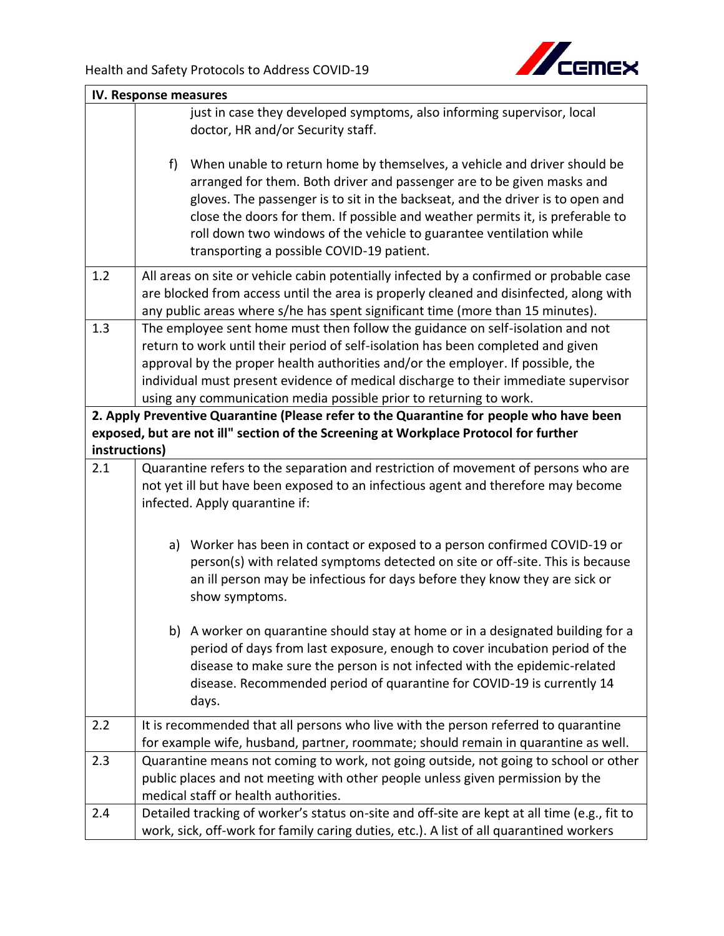

| IV. Response measures |                                                                                                                                                                                                                                                                                                                                                                                                                                                     |  |
|-----------------------|-----------------------------------------------------------------------------------------------------------------------------------------------------------------------------------------------------------------------------------------------------------------------------------------------------------------------------------------------------------------------------------------------------------------------------------------------------|--|
|                       | just in case they developed symptoms, also informing supervisor, local                                                                                                                                                                                                                                                                                                                                                                              |  |
|                       | doctor, HR and/or Security staff.                                                                                                                                                                                                                                                                                                                                                                                                                   |  |
|                       | $f$ )<br>When unable to return home by themselves, a vehicle and driver should be<br>arranged for them. Both driver and passenger are to be given masks and<br>gloves. The passenger is to sit in the backseat, and the driver is to open and<br>close the doors for them. If possible and weather permits it, is preferable to<br>roll down two windows of the vehicle to guarantee ventilation while<br>transporting a possible COVID-19 patient. |  |
| 1.2                   | All areas on site or vehicle cabin potentially infected by a confirmed or probable case<br>are blocked from access until the area is properly cleaned and disinfected, along with<br>any public areas where s/he has spent significant time (more than 15 minutes).                                                                                                                                                                                 |  |
| 1.3                   | The employee sent home must then follow the guidance on self-isolation and not                                                                                                                                                                                                                                                                                                                                                                      |  |
|                       | return to work until their period of self-isolation has been completed and given                                                                                                                                                                                                                                                                                                                                                                    |  |
|                       | approval by the proper health authorities and/or the employer. If possible, the                                                                                                                                                                                                                                                                                                                                                                     |  |
|                       | individual must present evidence of medical discharge to their immediate supervisor                                                                                                                                                                                                                                                                                                                                                                 |  |
|                       | using any communication media possible prior to returning to work.                                                                                                                                                                                                                                                                                                                                                                                  |  |
|                       | 2. Apply Preventive Quarantine (Please refer to the Quarantine for people who have been                                                                                                                                                                                                                                                                                                                                                             |  |
|                       | exposed, but are not ill" section of the Screening at Workplace Protocol for further                                                                                                                                                                                                                                                                                                                                                                |  |
| instructions)<br>2.1  |                                                                                                                                                                                                                                                                                                                                                                                                                                                     |  |
|                       | Quarantine refers to the separation and restriction of movement of persons who are<br>not yet ill but have been exposed to an infectious agent and therefore may become                                                                                                                                                                                                                                                                             |  |
|                       | infected. Apply quarantine if:                                                                                                                                                                                                                                                                                                                                                                                                                      |  |
|                       |                                                                                                                                                                                                                                                                                                                                                                                                                                                     |  |
|                       | a) Worker has been in contact or exposed to a person confirmed COVID-19 or<br>person(s) with related symptoms detected on site or off-site. This is because<br>an ill person may be infectious for days before they know they are sick or<br>show symptoms.                                                                                                                                                                                         |  |
|                       | b) A worker on quarantine should stay at home or in a designated building for a<br>period of days from last exposure, enough to cover incubation period of the<br>disease to make sure the person is not infected with the epidemic-related<br>disease. Recommended period of quarantine for COVID-19 is currently 14<br>days.                                                                                                                      |  |
| 2.2                   | It is recommended that all persons who live with the person referred to quarantine                                                                                                                                                                                                                                                                                                                                                                  |  |
|                       | for example wife, husband, partner, roommate; should remain in quarantine as well.                                                                                                                                                                                                                                                                                                                                                                  |  |
| 2.3                   | Quarantine means not coming to work, not going outside, not going to school or other                                                                                                                                                                                                                                                                                                                                                                |  |
|                       | public places and not meeting with other people unless given permission by the                                                                                                                                                                                                                                                                                                                                                                      |  |
|                       | medical staff or health authorities.                                                                                                                                                                                                                                                                                                                                                                                                                |  |
| 2.4                   | Detailed tracking of worker's status on-site and off-site are kept at all time (e.g., fit to<br>work, sick, off-work for family caring duties, etc.). A list of all quarantined workers                                                                                                                                                                                                                                                             |  |
|                       |                                                                                                                                                                                                                                                                                                                                                                                                                                                     |  |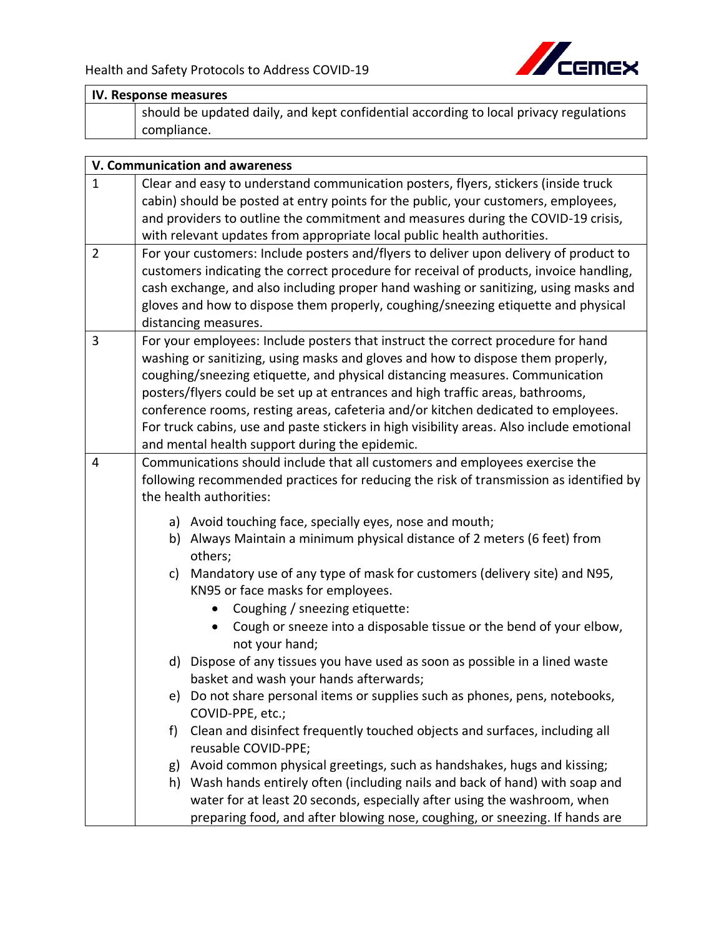

|                | IV. Response measures                                                                                                                                                                                                                                                                                                                                                                                                                                                                                                                                                     |
|----------------|---------------------------------------------------------------------------------------------------------------------------------------------------------------------------------------------------------------------------------------------------------------------------------------------------------------------------------------------------------------------------------------------------------------------------------------------------------------------------------------------------------------------------------------------------------------------------|
|                | should be updated daily, and kept confidential according to local privacy regulations<br>compliance.                                                                                                                                                                                                                                                                                                                                                                                                                                                                      |
|                |                                                                                                                                                                                                                                                                                                                                                                                                                                                                                                                                                                           |
|                | V. Communication and awareness                                                                                                                                                                                                                                                                                                                                                                                                                                                                                                                                            |
| $\mathbf{1}$   | Clear and easy to understand communication posters, flyers, stickers (inside truck<br>cabin) should be posted at entry points for the public, your customers, employees,<br>and providers to outline the commitment and measures during the COVID-19 crisis,<br>with relevant updates from appropriate local public health authorities.                                                                                                                                                                                                                                   |
| $\overline{2}$ | For your customers: Include posters and/flyers to deliver upon delivery of product to<br>customers indicating the correct procedure for receival of products, invoice handling,<br>cash exchange, and also including proper hand washing or sanitizing, using masks and<br>gloves and how to dispose them properly, coughing/sneezing etiquette and physical<br>distancing measures.                                                                                                                                                                                      |
| 3              | For your employees: Include posters that instruct the correct procedure for hand<br>washing or sanitizing, using masks and gloves and how to dispose them properly,<br>coughing/sneezing etiquette, and physical distancing measures. Communication<br>posters/flyers could be set up at entrances and high traffic areas, bathrooms,<br>conference rooms, resting areas, cafeteria and/or kitchen dedicated to employees.<br>For truck cabins, use and paste stickers in high visibility areas. Also include emotional<br>and mental health support during the epidemic. |
| $\overline{4}$ | Communications should include that all customers and employees exercise the<br>following recommended practices for reducing the risk of transmission as identified by<br>the health authorities:                                                                                                                                                                                                                                                                                                                                                                          |
|                | a) Avoid touching face, specially eyes, nose and mouth;<br>b) Always Maintain a minimum physical distance of 2 meters (6 feet) from                                                                                                                                                                                                                                                                                                                                                                                                                                       |

- b) Always Maintain a minimum physical distance of 2 meters (6 feet) from others;
- c) Mandatory use of any type of mask for customers (delivery site) and N95, KN95 or face masks for employees.
	- Coughing / sneezing etiquette:
	- Cough or sneeze into a disposable tissue or the bend of your elbow, not your hand;
- d) Dispose of any tissues you have used as soon as possible in a lined waste basket and wash your hands afterwards;
- e) Do not share personal items or supplies such as phones, pens, notebooks, COVID-PPE, etc.;
- f) Clean and disinfect frequently touched objects and surfaces, including all reusable COVID-PPE;
- g) Avoid common physical greetings, such as handshakes, hugs and kissing;
- h) Wash hands entirely often (including nails and back of hand) with soap and water for at least 20 seconds, especially after using the washroom, when preparing food, and after blowing nose, coughing, or sneezing. If hands are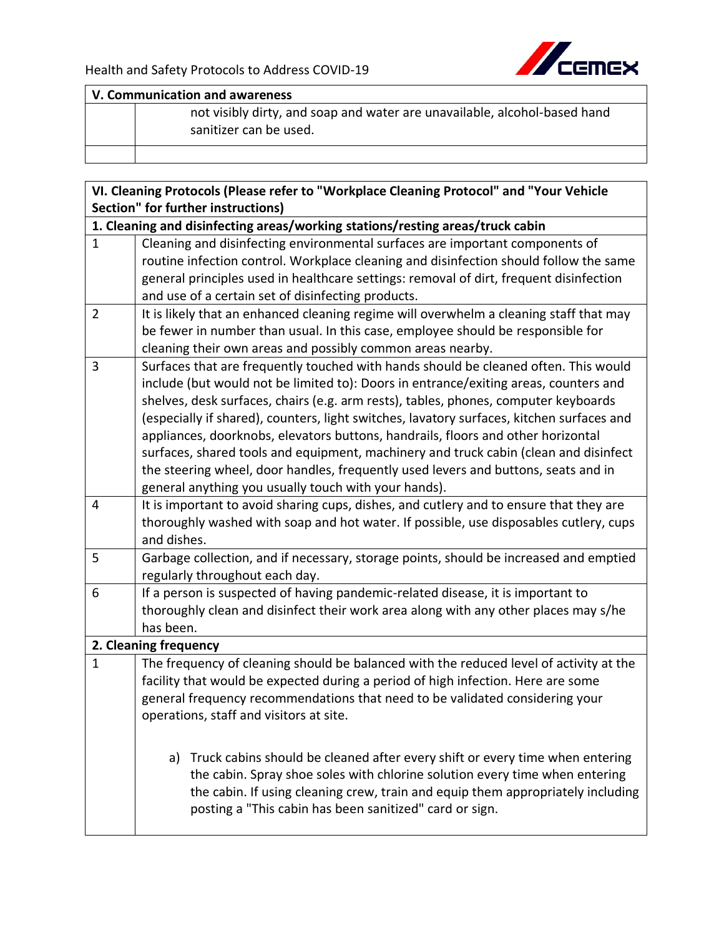

**V. Communication and awareness**

not visibly dirty, and soap and water are unavailable, alcohol-based hand sanitizer can be used.

| VI. Cleaning Protocols (Please refer to "Workplace Cleaning Protocol" and "Your Vehicle |                                                                                                                                                                                  |  |  |
|-----------------------------------------------------------------------------------------|----------------------------------------------------------------------------------------------------------------------------------------------------------------------------------|--|--|
|                                                                                         | Section" for further instructions)                                                                                                                                               |  |  |
|                                                                                         | 1. Cleaning and disinfecting areas/working stations/resting areas/truck cabin                                                                                                    |  |  |
| $\mathbf{1}$                                                                            | Cleaning and disinfecting environmental surfaces are important components of                                                                                                     |  |  |
|                                                                                         | routine infection control. Workplace cleaning and disinfection should follow the same                                                                                            |  |  |
|                                                                                         | general principles used in healthcare settings: removal of dirt, frequent disinfection                                                                                           |  |  |
|                                                                                         | and use of a certain set of disinfecting products.                                                                                                                               |  |  |
| $\overline{2}$                                                                          | It is likely that an enhanced cleaning regime will overwhelm a cleaning staff that may                                                                                           |  |  |
|                                                                                         | be fewer in number than usual. In this case, employee should be responsible for                                                                                                  |  |  |
|                                                                                         | cleaning their own areas and possibly common areas nearby.                                                                                                                       |  |  |
| 3                                                                                       | Surfaces that are frequently touched with hands should be cleaned often. This would                                                                                              |  |  |
|                                                                                         | include (but would not be limited to): Doors in entrance/exiting areas, counters and                                                                                             |  |  |
|                                                                                         | shelves, desk surfaces, chairs (e.g. arm rests), tables, phones, computer keyboards<br>(especially if shared), counters, light switches, lavatory surfaces, kitchen surfaces and |  |  |
|                                                                                         | appliances, doorknobs, elevators buttons, handrails, floors and other horizontal                                                                                                 |  |  |
|                                                                                         | surfaces, shared tools and equipment, machinery and truck cabin (clean and disinfect                                                                                             |  |  |
|                                                                                         | the steering wheel, door handles, frequently used levers and buttons, seats and in                                                                                               |  |  |
|                                                                                         | general anything you usually touch with your hands).                                                                                                                             |  |  |
| 4                                                                                       | It is important to avoid sharing cups, dishes, and cutlery and to ensure that they are                                                                                           |  |  |
|                                                                                         | thoroughly washed with soap and hot water. If possible, use disposables cutlery, cups                                                                                            |  |  |
|                                                                                         | and dishes.                                                                                                                                                                      |  |  |
| 5                                                                                       | Garbage collection, and if necessary, storage points, should be increased and emptied                                                                                            |  |  |
|                                                                                         | regularly throughout each day.                                                                                                                                                   |  |  |
| 6                                                                                       | If a person is suspected of having pandemic-related disease, it is important to                                                                                                  |  |  |
|                                                                                         | thoroughly clean and disinfect their work area along with any other places may s/he                                                                                              |  |  |
|                                                                                         | has been.                                                                                                                                                                        |  |  |
|                                                                                         | 2. Cleaning frequency                                                                                                                                                            |  |  |
| $\mathbf{1}$                                                                            | The frequency of cleaning should be balanced with the reduced level of activity at the                                                                                           |  |  |
|                                                                                         | facility that would be expected during a period of high infection. Here are some<br>general frequency recommendations that need to be validated considering your                 |  |  |
|                                                                                         | operations, staff and visitors at site.                                                                                                                                          |  |  |
|                                                                                         |                                                                                                                                                                                  |  |  |
|                                                                                         |                                                                                                                                                                                  |  |  |
|                                                                                         | a) Truck cabins should be cleaned after every shift or every time when entering                                                                                                  |  |  |
|                                                                                         | the cabin. Spray shoe soles with chlorine solution every time when entering                                                                                                      |  |  |
|                                                                                         | the cabin. If using cleaning crew, train and equip them appropriately including<br>posting a "This cabin has been sanitized" card or sign.                                       |  |  |
|                                                                                         |                                                                                                                                                                                  |  |  |
|                                                                                         |                                                                                                                                                                                  |  |  |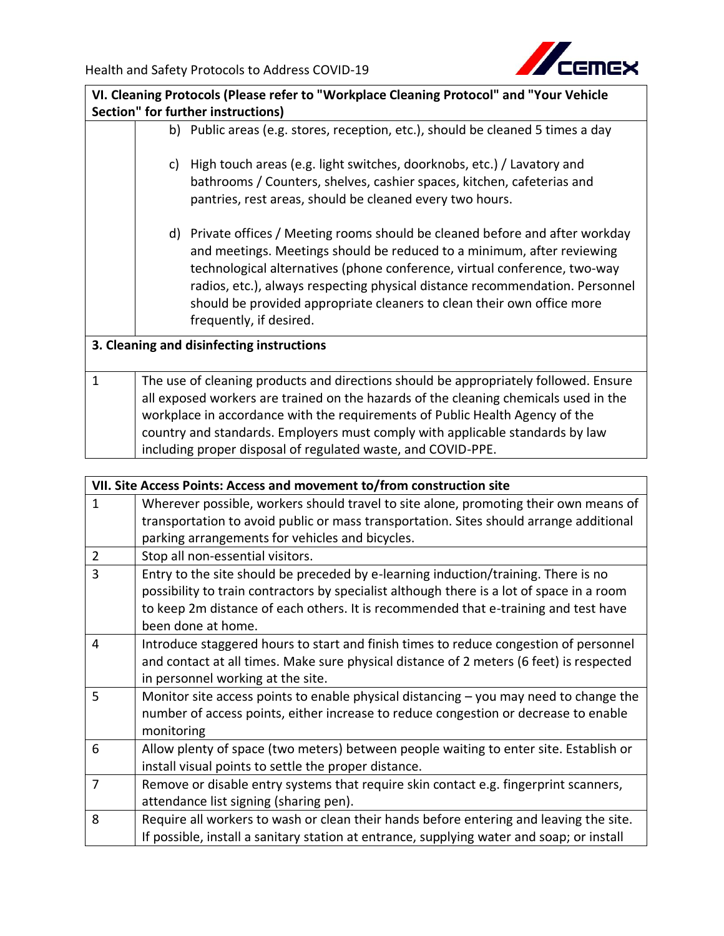

| VI. Cleaning Protocols (Please refer to "Workplace Cleaning Protocol" and "Your Vehicle |    |                                                                                                                                                                                                                                                                                                                                                                                                                           |
|-----------------------------------------------------------------------------------------|----|---------------------------------------------------------------------------------------------------------------------------------------------------------------------------------------------------------------------------------------------------------------------------------------------------------------------------------------------------------------------------------------------------------------------------|
| Section" for further instructions)                                                      |    |                                                                                                                                                                                                                                                                                                                                                                                                                           |
|                                                                                         |    | b) Public areas (e.g. stores, reception, etc.), should be cleaned 5 times a day                                                                                                                                                                                                                                                                                                                                           |
|                                                                                         | C) | High touch areas (e.g. light switches, doorknobs, etc.) / Lavatory and<br>bathrooms / Counters, shelves, cashier spaces, kitchen, cafeterias and<br>pantries, rest areas, should be cleaned every two hours.                                                                                                                                                                                                              |
|                                                                                         |    | d) Private offices / Meeting rooms should be cleaned before and after workday<br>and meetings. Meetings should be reduced to a minimum, after reviewing<br>technological alternatives (phone conference, virtual conference, two-way<br>radios, etc.), always respecting physical distance recommendation. Personnel<br>should be provided appropriate cleaners to clean their own office more<br>frequently, if desired. |
|                                                                                         |    | 3. Cleaning and disinfecting instructions                                                                                                                                                                                                                                                                                                                                                                                 |
| $\mathbf{1}$                                                                            |    | The use of cleaning products and directions should be appropriately followed. Ensure<br>all exposed workers are trained on the hazards of the cleaning chemicals used in the<br>workplace in accordance with the requirements of Public Health Agency of the<br>country and standards. Employers must comply with applicable standards by law<br>including proper disposal of regulated waste, and COVID-PPE.             |

| VII. Site Access Points: Access and movement to/from construction site |                                                                                           |
|------------------------------------------------------------------------|-------------------------------------------------------------------------------------------|
| $\mathbf{1}$                                                           | Wherever possible, workers should travel to site alone, promoting their own means of      |
|                                                                        | transportation to avoid public or mass transportation. Sites should arrange additional    |
|                                                                        | parking arrangements for vehicles and bicycles.                                           |
| $\overline{2}$                                                         | Stop all non-essential visitors.                                                          |
| 3                                                                      | Entry to the site should be preceded by e-learning induction/training. There is no        |
|                                                                        | possibility to train contractors by specialist although there is a lot of space in a room |
|                                                                        | to keep 2m distance of each others. It is recommended that e-training and test have       |
|                                                                        | been done at home.                                                                        |
| 4                                                                      | Introduce staggered hours to start and finish times to reduce congestion of personnel     |
|                                                                        | and contact at all times. Make sure physical distance of 2 meters (6 feet) is respected   |
|                                                                        | in personnel working at the site.                                                         |
| 5                                                                      | Monitor site access points to enable physical distancing $-$ you may need to change the   |
|                                                                        | number of access points, either increase to reduce congestion or decrease to enable       |
|                                                                        | monitoring                                                                                |
| 6                                                                      | Allow plenty of space (two meters) between people waiting to enter site. Establish or     |
|                                                                        | install visual points to settle the proper distance.                                      |
| $\overline{7}$                                                         | Remove or disable entry systems that require skin contact e.g. fingerprint scanners,      |
|                                                                        | attendance list signing (sharing pen).                                                    |
| 8                                                                      | Require all workers to wash or clean their hands before entering and leaving the site.    |
|                                                                        | If possible, install a sanitary station at entrance, supplying water and soap; or install |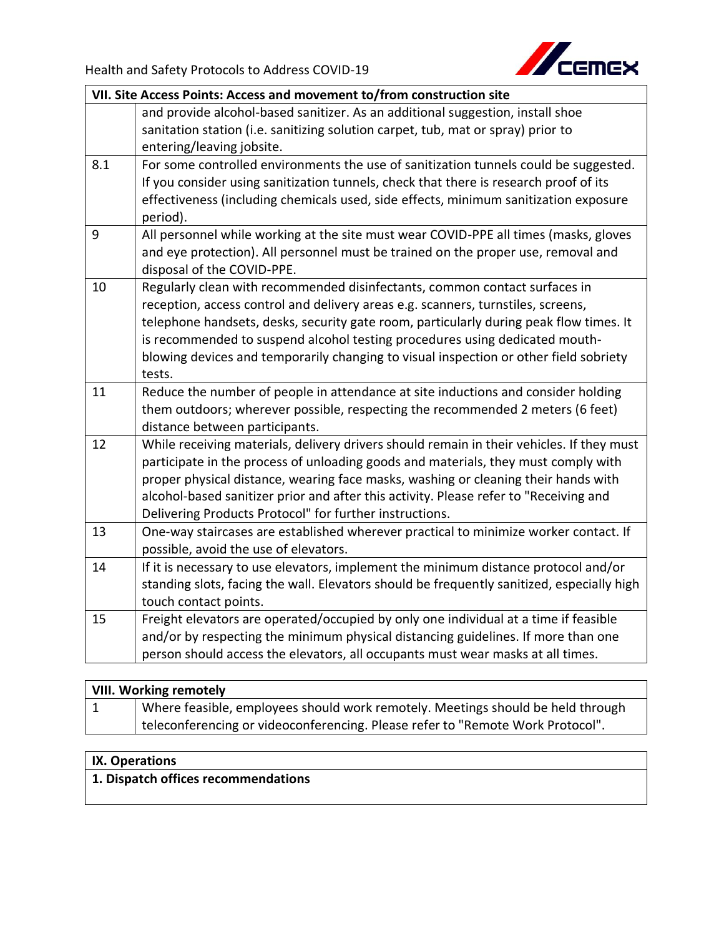

|     | VII. Site Access Points: Access and movement to/from construction site                                                                                                                                                                                                                                                                                                                                                                     |  |
|-----|--------------------------------------------------------------------------------------------------------------------------------------------------------------------------------------------------------------------------------------------------------------------------------------------------------------------------------------------------------------------------------------------------------------------------------------------|--|
|     | and provide alcohol-based sanitizer. As an additional suggestion, install shoe<br>sanitation station (i.e. sanitizing solution carpet, tub, mat or spray) prior to<br>entering/leaving jobsite.                                                                                                                                                                                                                                            |  |
| 8.1 | For some controlled environments the use of sanitization tunnels could be suggested.<br>If you consider using sanitization tunnels, check that there is research proof of its<br>effectiveness (including chemicals used, side effects, minimum sanitization exposure<br>period).                                                                                                                                                          |  |
| 9   | All personnel while working at the site must wear COVID-PPE all times (masks, gloves<br>and eye protection). All personnel must be trained on the proper use, removal and<br>disposal of the COVID-PPE.                                                                                                                                                                                                                                    |  |
| 10  | Regularly clean with recommended disinfectants, common contact surfaces in<br>reception, access control and delivery areas e.g. scanners, turnstiles, screens,<br>telephone handsets, desks, security gate room, particularly during peak flow times. It<br>is recommended to suspend alcohol testing procedures using dedicated mouth-<br>blowing devices and temporarily changing to visual inspection or other field sobriety<br>tests. |  |
| 11  | Reduce the number of people in attendance at site inductions and consider holding<br>them outdoors; wherever possible, respecting the recommended 2 meters (6 feet)<br>distance between participants.                                                                                                                                                                                                                                      |  |
| 12  | While receiving materials, delivery drivers should remain in their vehicles. If they must<br>participate in the process of unloading goods and materials, they must comply with<br>proper physical distance, wearing face masks, washing or cleaning their hands with<br>alcohol-based sanitizer prior and after this activity. Please refer to "Receiving and<br>Delivering Products Protocol" for further instructions.                  |  |
| 13  | One-way staircases are established wherever practical to minimize worker contact. If<br>possible, avoid the use of elevators.                                                                                                                                                                                                                                                                                                              |  |
| 14  | If it is necessary to use elevators, implement the minimum distance protocol and/or<br>standing slots, facing the wall. Elevators should be frequently sanitized, especially high<br>touch contact points.                                                                                                                                                                                                                                 |  |
| 15  | Freight elevators are operated/occupied by only one individual at a time if feasible<br>and/or by respecting the minimum physical distancing guidelines. If more than one<br>person should access the elevators, all occupants must wear masks at all times.                                                                                                                                                                               |  |
|     |                                                                                                                                                                                                                                                                                                                                                                                                                                            |  |

| <b>VIII. Working remotely</b> |                                                                                 |
|-------------------------------|---------------------------------------------------------------------------------|
| $\mathbf{\mathbf{\perp}}$     | Where feasible, employees should work remotely. Meetings should be held through |
|                               | teleconferencing or videoconferencing. Please refer to "Remote Work Protocol".  |

## **IX. Operations**

**1. Dispatch offices recommendations**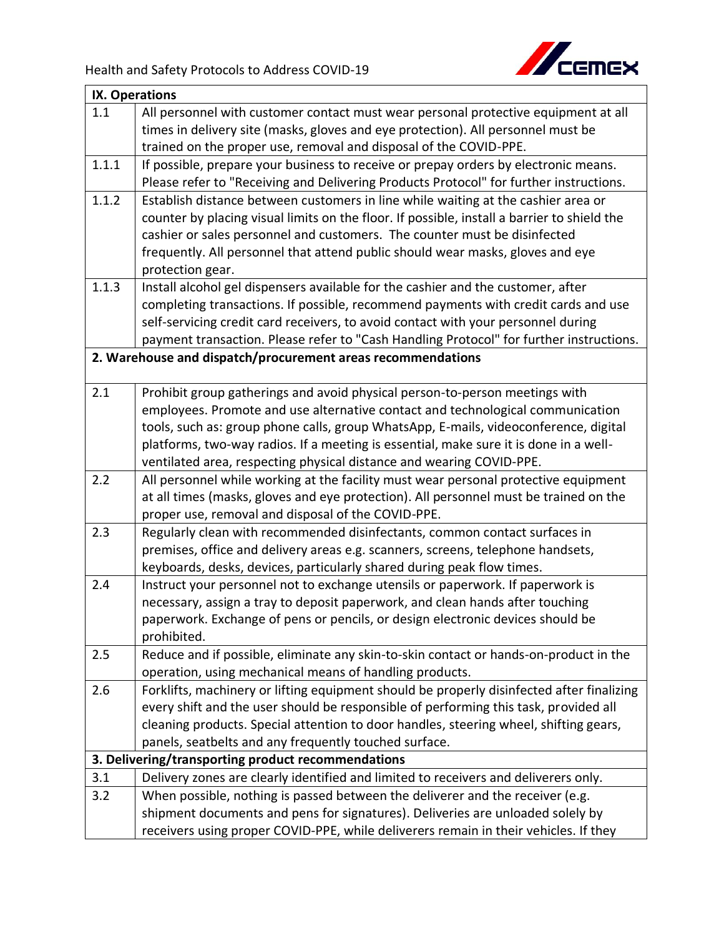

|       | IX. Operations                                                                              |  |
|-------|---------------------------------------------------------------------------------------------|--|
| 1.1   | All personnel with customer contact must wear personal protective equipment at all          |  |
|       | times in delivery site (masks, gloves and eye protection). All personnel must be            |  |
|       | trained on the proper use, removal and disposal of the COVID-PPE.                           |  |
| 1.1.1 | If possible, prepare your business to receive or prepay orders by electronic means.         |  |
|       | Please refer to "Receiving and Delivering Products Protocol" for further instructions.      |  |
| 1.1.2 | Establish distance between customers in line while waiting at the cashier area or           |  |
|       | counter by placing visual limits on the floor. If possible, install a barrier to shield the |  |
|       | cashier or sales personnel and customers. The counter must be disinfected                   |  |
|       | frequently. All personnel that attend public should wear masks, gloves and eye              |  |
|       | protection gear.                                                                            |  |
| 1.1.3 | Install alcohol gel dispensers available for the cashier and the customer, after            |  |
|       | completing transactions. If possible, recommend payments with credit cards and use          |  |
|       | self-servicing credit card receivers, to avoid contact with your personnel during           |  |
|       | payment transaction. Please refer to "Cash Handling Protocol" for further instructions.     |  |
|       | 2. Warehouse and dispatch/procurement areas recommendations                                 |  |
|       |                                                                                             |  |
| 2.1   | Prohibit group gatherings and avoid physical person-to-person meetings with                 |  |
|       | employees. Promote and use alternative contact and technological communication              |  |
|       | tools, such as: group phone calls, group WhatsApp, E-mails, videoconference, digital        |  |
|       | platforms, two-way radios. If a meeting is essential, make sure it is done in a well-       |  |
|       | ventilated area, respecting physical distance and wearing COVID-PPE.                        |  |
| 2.2   | All personnel while working at the facility must wear personal protective equipment         |  |
|       | at all times (masks, gloves and eye protection). All personnel must be trained on the       |  |
|       | proper use, removal and disposal of the COVID-PPE.                                          |  |
| 2.3   | Regularly clean with recommended disinfectants, common contact surfaces in                  |  |
|       | premises, office and delivery areas e.g. scanners, screens, telephone handsets,             |  |
|       | keyboards, desks, devices, particularly shared during peak flow times.                      |  |
| 2.4   | Instruct your personnel not to exchange utensils or paperwork. If paperwork is              |  |
|       | necessary, assign a tray to deposit paperwork, and clean hands after touching               |  |
|       | paperwork. Exchange of pens or pencils, or design electronic devices should be              |  |
|       | prohibited.                                                                                 |  |
| 2.5   | Reduce and if possible, eliminate any skin-to-skin contact or hands-on-product in the       |  |
|       | operation, using mechanical means of handling products.                                     |  |
| 2.6   | Forklifts, machinery or lifting equipment should be properly disinfected after finalizing   |  |
|       | every shift and the user should be responsible of performing this task, provided all        |  |
|       | cleaning products. Special attention to door handles, steering wheel, shifting gears,       |  |
|       | panels, seatbelts and any frequently touched surface.                                       |  |
|       | 3. Delivering/transporting product recommendations                                          |  |
| 3.1   | Delivery zones are clearly identified and limited to receivers and deliverers only.         |  |
| 3.2   | When possible, nothing is passed between the deliverer and the receiver (e.g.               |  |
|       | shipment documents and pens for signatures). Deliveries are unloaded solely by              |  |
|       | receivers using proper COVID-PPE, while deliverers remain in their vehicles. If they        |  |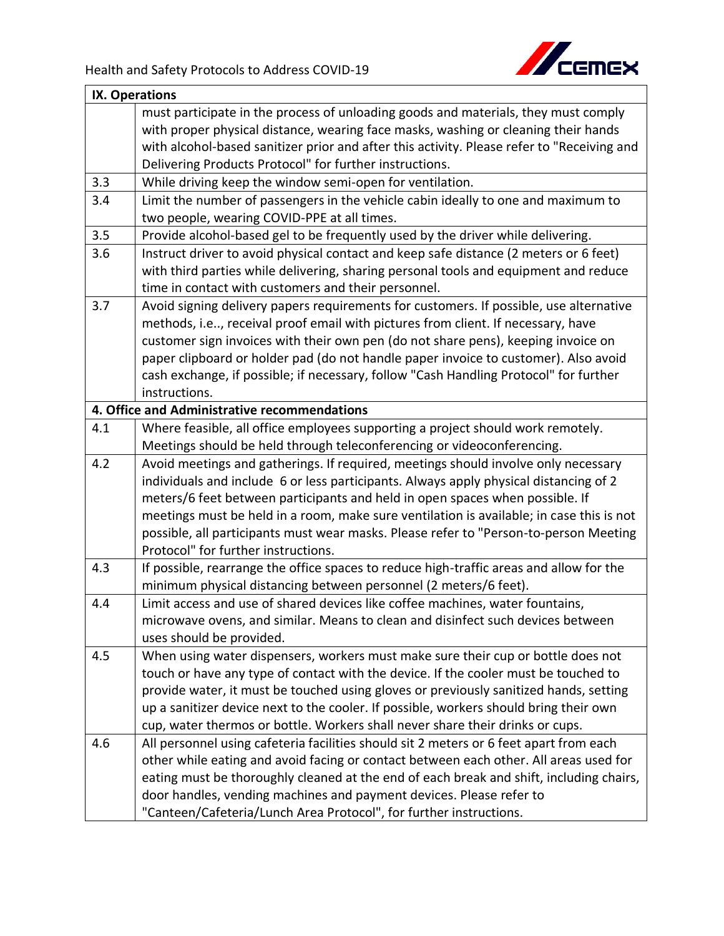

|     | IX. Operations                                                                             |  |
|-----|--------------------------------------------------------------------------------------------|--|
|     | must participate in the process of unloading goods and materials, they must comply         |  |
|     | with proper physical distance, wearing face masks, washing or cleaning their hands         |  |
|     | with alcohol-based sanitizer prior and after this activity. Please refer to "Receiving and |  |
|     | Delivering Products Protocol" for further instructions.                                    |  |
| 3.3 | While driving keep the window semi-open for ventilation.                                   |  |
| 3.4 | Limit the number of passengers in the vehicle cabin ideally to one and maximum to          |  |
|     | two people, wearing COVID-PPE at all times.                                                |  |
| 3.5 | Provide alcohol-based gel to be frequently used by the driver while delivering.            |  |
| 3.6 | Instruct driver to avoid physical contact and keep safe distance (2 meters or 6 feet)      |  |
|     | with third parties while delivering, sharing personal tools and equipment and reduce       |  |
|     | time in contact with customers and their personnel.                                        |  |
| 3.7 | Avoid signing delivery papers requirements for customers. If possible, use alternative     |  |
|     | methods, i.e, receival proof email with pictures from client. If necessary, have           |  |
|     | customer sign invoices with their own pen (do not share pens), keeping invoice on          |  |
|     | paper clipboard or holder pad (do not handle paper invoice to customer). Also avoid        |  |
|     | cash exchange, if possible; if necessary, follow "Cash Handling Protocol" for further      |  |
|     | instructions.                                                                              |  |
|     | 4. Office and Administrative recommendations                                               |  |
| 4.1 | Where feasible, all office employees supporting a project should work remotely.            |  |
|     | Meetings should be held through teleconferencing or videoconferencing.                     |  |
| 4.2 | Avoid meetings and gatherings. If required, meetings should involve only necessary         |  |
|     | individuals and include 6 or less participants. Always apply physical distancing of 2      |  |
|     | meters/6 feet between participants and held in open spaces when possible. If               |  |
|     | meetings must be held in a room, make sure ventilation is available; in case this is not   |  |
|     | possible, all participants must wear masks. Please refer to "Person-to-person Meeting      |  |
|     | Protocol" for further instructions.                                                        |  |
| 4.3 | If possible, rearrange the office spaces to reduce high-traffic areas and allow for the    |  |
|     | minimum physical distancing between personnel (2 meters/6 feet).                           |  |
| 4.4 | Limit access and use of shared devices like coffee machines, water fountains,              |  |
|     | microwave ovens, and similar. Means to clean and disinfect such devices between            |  |
|     | uses should be provided.                                                                   |  |
| 4.5 | When using water dispensers, workers must make sure their cup or bottle does not           |  |
|     | touch or have any type of contact with the device. If the cooler must be touched to        |  |
|     | provide water, it must be touched using gloves or previously sanitized hands, setting      |  |
|     | up a sanitizer device next to the cooler. If possible, workers should bring their own      |  |
|     | cup, water thermos or bottle. Workers shall never share their drinks or cups.              |  |
| 4.6 | All personnel using cafeteria facilities should sit 2 meters or 6 feet apart from each     |  |
|     | other while eating and avoid facing or contact between each other. All areas used for      |  |
|     | eating must be thoroughly cleaned at the end of each break and shift, including chairs,    |  |
|     | door handles, vending machines and payment devices. Please refer to                        |  |
|     | "Canteen/Cafeteria/Lunch Area Protocol", for further instructions.                         |  |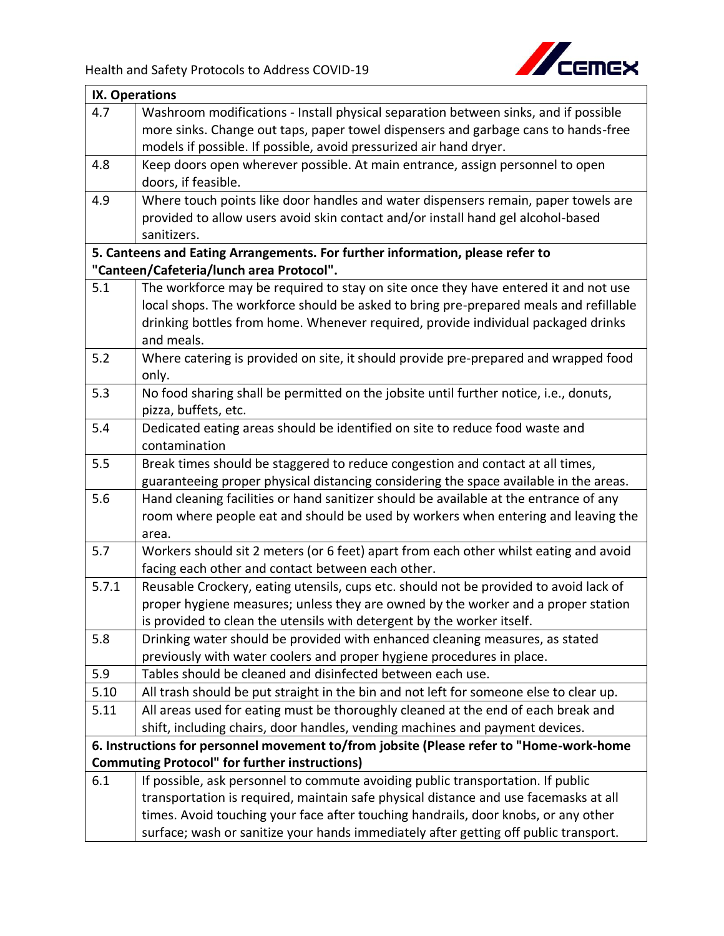

|       | IX. Operations                                                                                  |  |
|-------|-------------------------------------------------------------------------------------------------|--|
| 4.7   | Washroom modifications - Install physical separation between sinks, and if possible             |  |
|       | more sinks. Change out taps, paper towel dispensers and garbage cans to hands-free              |  |
|       | models if possible. If possible, avoid pressurized air hand dryer.                              |  |
| 4.8   | Keep doors open wherever possible. At main entrance, assign personnel to open                   |  |
|       | doors, if feasible.                                                                             |  |
| 4.9   | Where touch points like door handles and water dispensers remain, paper towels are              |  |
|       | provided to allow users avoid skin contact and/or install hand gel alcohol-based                |  |
|       | sanitizers.                                                                                     |  |
|       | 5. Canteens and Eating Arrangements. For further information, please refer to                   |  |
|       | "Canteen/Cafeteria/lunch area Protocol".                                                        |  |
| 5.1   | The workforce may be required to stay on site once they have entered it and not use             |  |
|       | local shops. The workforce should be asked to bring pre-prepared meals and refillable           |  |
|       | drinking bottles from home. Whenever required, provide individual packaged drinks<br>and meals. |  |
| 5.2   | Where catering is provided on site, it should provide pre-prepared and wrapped food             |  |
|       | only.                                                                                           |  |
| 5.3   | No food sharing shall be permitted on the jobsite until further notice, i.e., donuts,           |  |
|       | pizza, buffets, etc.                                                                            |  |
| 5.4   | Dedicated eating areas should be identified on site to reduce food waste and                    |  |
|       | contamination                                                                                   |  |
| 5.5   | Break times should be staggered to reduce congestion and contact at all times,                  |  |
|       | guaranteeing proper physical distancing considering the space available in the areas.           |  |
| 5.6   | Hand cleaning facilities or hand sanitizer should be available at the entrance of any           |  |
|       | room where people eat and should be used by workers when entering and leaving the<br>area.      |  |
| 5.7   | Workers should sit 2 meters (or 6 feet) apart from each other whilst eating and avoid           |  |
|       | facing each other and contact between each other.                                               |  |
| 5.7.1 | Reusable Crockery, eating utensils, cups etc. should not be provided to avoid lack of           |  |
|       | proper hygiene measures; unless they are owned by the worker and a proper station               |  |
|       | is provided to clean the utensils with detergent by the worker itself.                          |  |
| 5.8   | Drinking water should be provided with enhanced cleaning measures, as stated                    |  |
|       | previously with water coolers and proper hygiene procedures in place.                           |  |
| 5.9   | Tables should be cleaned and disinfected between each use.                                      |  |
| 5.10  | All trash should be put straight in the bin and not left for someone else to clear up.          |  |
| 5.11  | All areas used for eating must be thoroughly cleaned at the end of each break and               |  |
|       | shift, including chairs, door handles, vending machines and payment devices.                    |  |
|       | 6. Instructions for personnel movement to/from jobsite (Please refer to "Home-work-home         |  |
|       | <b>Commuting Protocol" for further instructions)</b>                                            |  |
| 6.1   | If possible, ask personnel to commute avoiding public transportation. If public                 |  |
|       | transportation is required, maintain safe physical distance and use facemasks at all            |  |
|       | times. Avoid touching your face after touching handrails, door knobs, or any other              |  |
|       | surface; wash or sanitize your hands immediately after getting off public transport.            |  |